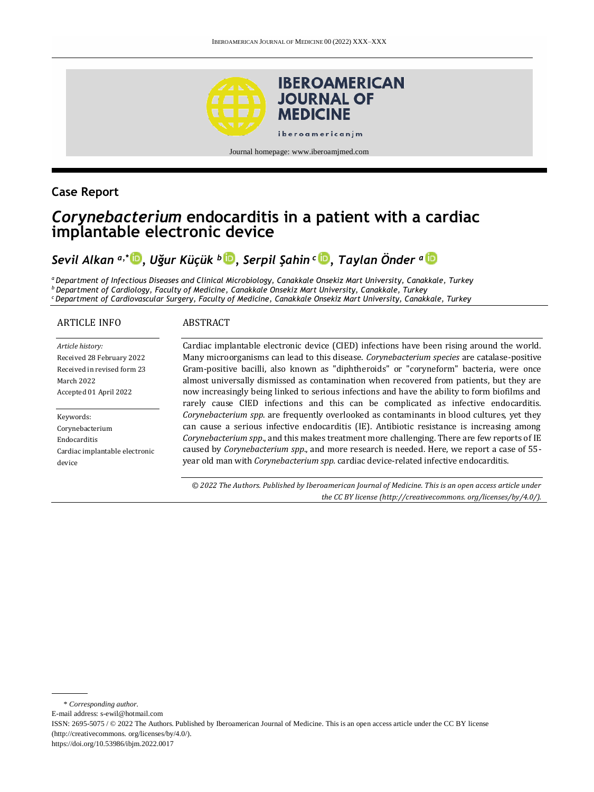

Journal homepage[: www.iberoamjmed.com](file:///C:/Users/EDUARDO/Desktop/REVISTA/Iberoamerican%20Journal%20of%20Medicine/Issues/Formato%20artículos/Bilingüe/www.iberoamjmed.com)

## **Case Report**

# *Corynebacterium* **endocarditis in a patient with a cardiac implantable electronic device**

# *Sevil Alkan a,\* [,](http://orcid.org/0000-0003-1944-2477) Uğur Küçük <sup>b</sup> [,](http://orcid.org/0000-0003-4669-7387) Serpil Şahin <sup>c</sup> [,](http://orcid.org/0000-0001-8158-4594) Taylan Önder <sup>a</sup>*

*<sup>a</sup>Department of Infectious Diseases and Clinical Microbiology, Canakkale Onsekiz Mart University, Canakkale, Turkey <sup>b</sup>Department of Cardiology, Faculty of Medicine, Canakkale Onsekiz Mart University, Canakkale, Turkey <sup>c</sup>Department of Cardiovascular Surgery, Faculty of Medicine, Canakkale Onsekiz Mart University, Canakkale, Turkey*

#### ARTICLE INFO

#### **ABSTRACT**

*Article history:* Received 28 February 2022 Received in revised form 23 March 2022 Accepted 01 April 2022

Keywords: Corynebacterium Endocarditis Cardiac implantable electronic device

Cardiac implantable electronic device (CIED) infections have been rising around the world. Many microorganisms can lead to this disease. *Corynebacterium species* are catalase-positive Gram-positive bacilli, also known as "diphtheroids" or "coryneform" bacteria, were once almost universally dismissed as contamination when recovered from patients, but they are now increasingly being linked to serious infections and have the ability to form biofilms and rarely cause CIED infections and this can be complicated as infective endocarditis. *Corynebacterium spp*. are frequently overlooked as contaminants in blood cultures, yet they can cause a serious infective endocarditis (IE). Antibiotic resistance is increasing among *Corynebacterium spp*., and this makes treatment more challenging. There are few reports of IE caused by *Corynebacterium spp*., and more research is needed. Here, we report a case of 55 year old man with *Corynebacterium spp.* cardiac device-related infective endocarditis.

*© 2022 The Authors. Published by Iberoamerican Journal of Medicine. This is an open access article under the CC BY license (http:/[/creativecommons. org/licenses/by/4.0/\)](https://creativecommons.org/licenses/by/4.0/).*

\* *Corresponding author.*

E-mail address[: s-ewil@hotmail.com](mailto:s-ewil@hotmail.com)

ISSN: 2695-5075 / © 2022 The Authors. Published by Iberoamerican Journal of Medicine. This is an open access article under the CC BY license (http:/[/creativecommons. org/licenses/by/4.0/\)](https://creativecommons.org/licenses/by/4.0/).

<https://doi.org/10.53986/ibjm.2022.0017>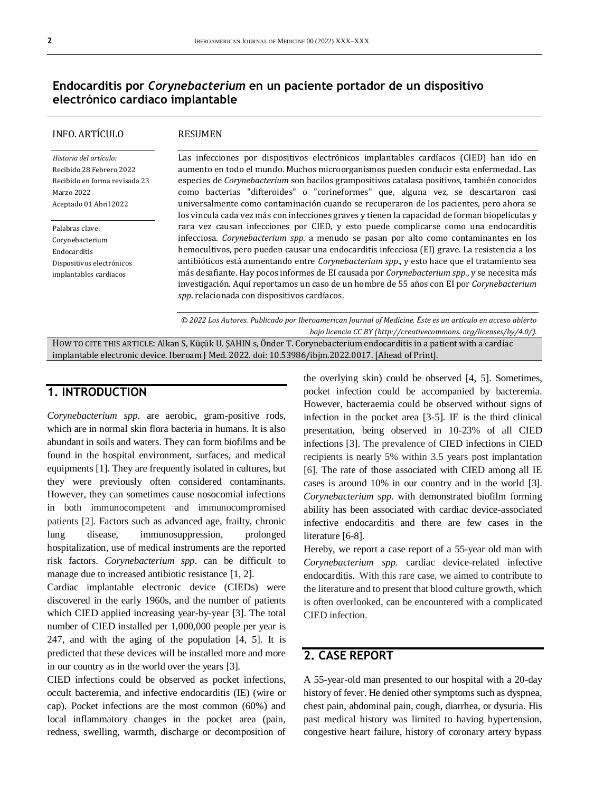## **Endocarditis por** *Corynebacterium* **en un paciente portador de un dispositivo electrónico cardiaco implantable**

### INFO. ARTÍCULO

#### RESUMEN

*Historia del artículo:*  Recibido 28 Febrero 2022 Recibido en forma revisada 23 Marzo 2022 Aceptado 01 Abril 2022

Palabras clave: Corynebacterium Endocarditis Dispositivos electrónicos implantables cardiacos

Las infecciones por dispositivos electrónicos implantables cardíacos (CIED) han ido en aumento en todo el mundo. Muchos microorganismos pueden conducir esta enfermedad. Las especies de *Corynebacterium* son bacilos grampositivos catalasa positivos, también conocidos como bacterias "difteroides" o "corineformes" que, alguna vez, se descartaron casi universalmente como contaminación cuando se recuperaron de los pacientes, pero ahora se los vincula cada vez más con infecciones graves y tienen la capacidad de forman biopelículas y rara vez causan infecciones por CIED, y esto puede complicarse como una endocarditis infecciosa. *Corynebacterium spp*. a menudo se pasan por alto como contaminantes en los hemocultivos, pero pueden causar una endocarditis infecciosa (EI) grave. La resistencia a los antibióticos está aumentando entre *Corynebacterium spp*., y esto hace que el tratamiento sea más desafiante. Hay pocos informes de EI causada por *Corynebacterium spp*., y se necesita más investigación. Aquí reportamos un caso de un hombre de 55 años con EI por *Corynebacterium spp*. relacionada con dispositivos cardíacos.

*© 2022 Los Autores. Publicado por Iberoamerican Journal of Medicine. Éste es un artículo en acceso abierto bajo licencia CC BY (http:/[/creativecommons. org/licenses/by/4.0/\)](https://creativecommons.org/licenses/by/4.0/).*

HOW TO CITE THIS ARTICLE: Alkan S, Küçük U, ŞAHIN s, Önder T. Corynebacterium endocarditis in a patient with a cardiac implantable electronic device. Iberoam J Med. 2022. doi[: 10.53986/ibjm.2022.0017.](https://doi.org/10.53986/ibjm.2022.0017) [Ahead of Print].

### **1. INTRODUCTION**

*Corynebacterium spp.* are aerobic, gram-positive rods, which are in normal skin flora bacteria in humans. It is also abundant in soils and waters. They can form biofilms and be found in the hospital environment, surfaces, and medical equipments [1]. They are frequently isolated in cultures, but they were previously often considered contaminants. However, they can sometimes cause nosocomial infections in both immunocompetent and immunocompromised patients [2]. Factors such as advanced age, frailty, chronic lung disease, immunosuppression, prolonged hospitalization, use of medical instruments are the reported risk factors. *Corynebacterium spp*. can be difficult to manage due to increased antibiotic resistance [1, 2].

Cardiac implantable electronic device (CIEDs) were discovered in the early 1960s, and the number of patients which CIED applied increasing year-by-year [3]. The total number of CIED installed per 1,000,000 people per year is 247, and with the aging of the population [4, 5]. It is predicted that these devices will be installed more and more in our country as in the world over the years [3].

CIED infections could be observed as pocket infections, occult bacteremia, and infective endocarditis (IE) (wire or cap). Pocket infections are the most common (60%) and local inflammatory changes in the pocket area (pain, redness, swelling, warmth, discharge or decomposition of the overlying skin) could be observed [4, 5]. Sometimes, pocket infection could be accompanied by bacteremia. However, bacteraemia could be observed without signs of infection in the pocket area [3-5]. IE is the third clinical presentation, being observed in 10-23% of all CIED infections [3]. The prevalence of CIED infections in CIED recipients is nearly 5% within 3.5 years post implantation [6]. The rate of those associated with CIED among all IE cases is around 10% in our country and in the world [3]. *Corynebacterium spp*. with demonstrated biofilm forming ability has been associated with cardiac device-associated infective endocarditis and there are few cases in the literature [6-8].

Hereby, we report a case report of a 55-year old man with *Corynebacterium spp.* cardiac device-related infective endocarditis. With this rare case, we aimed to contribute to the literature and to present that blood culture growth, which is often overlooked, can be encountered with a complicated CIED infection.

### **2. CASE REPORT**

A 55-year-old man presented to our hospital with a 20-day history of fever. He denied other symptoms such as dyspnea, chest pain, abdominal pain, cough, diarrhea, or dysuria. His past medical history was limited to having hypertension, congestive heart failure, history of coronary artery bypass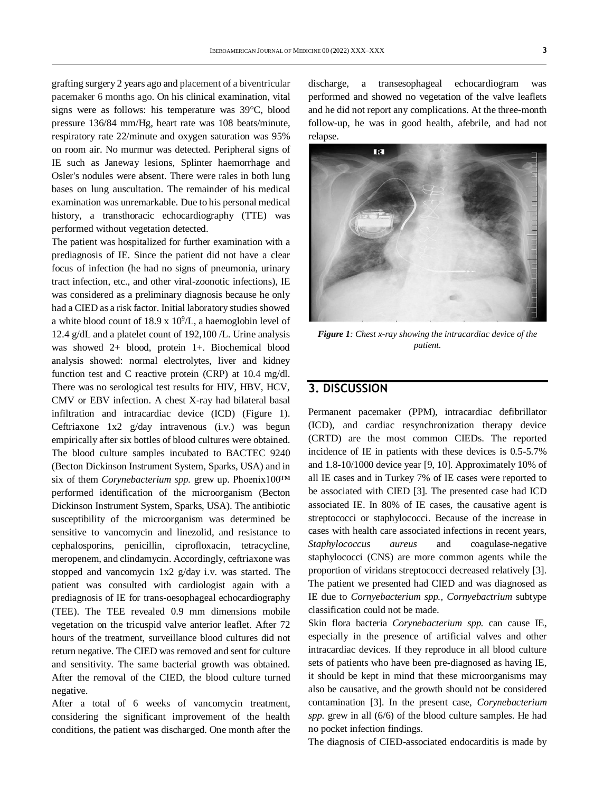grafting surgery 2 years ago and placement of a biventricular pacemaker 6 months ago. On his clinical examination, vital signs were as follows: his temperature was 39°C, blood pressure 136/84 mm/Hg, heart rate was 108 beats/minute, respiratory rate 22/minute and oxygen saturation was 95% on room air. No murmur was detected. Peripheral signs of IE such as Janeway lesions, Splinter haemorrhage and Osler's nodules were absent. There were rales in both lung bases on lung auscultation. The remainder of his medical examination was unremarkable. Due to his personal medical history, a transthoracic echocardiography (TTE) was performed without vegetation detected.

The patient was hospitalized for further examination with a prediagnosis of IE. Since the patient did not have a clear focus of infection (he had no signs of pneumonia, urinary tract infection, etc., and other viral-zoonotic infections), IE was considered as a preliminary diagnosis because he only had a CIED as a risk factor. Initial laboratory studies showed a white blood count of  $18.9 \times 10^9$ /L, a haemoglobin level of 12.4 g/dL and a platelet count of 192,100 /L. Urine analysis was showed 2+ blood, protein 1+. Biochemical blood analysis showed: normal electrolytes, liver and kidney function test and C reactive protein (CRP) at 10.4 mg/dl. There was no serological test results for HIV, HBV, HCV, CMV or EBV infection. A chest X-ray had bilateral basal infiltration and intracardiac device (ICD) (Figure 1). Ceftriaxone 1x2 g/day intravenous (i.v.) was begun empirically after six bottles of blood cultures were obtained. The blood culture samples incubated to BACTEC 9240 (Becton Dickinson Instrument System, Sparks, USA) and in six of them *Corynebacterium spp.* grew up. Phoenix100™ performed identification of the microorganism (Becton Dickinson Instrument System, Sparks, USA). The antibiotic susceptibility of the microorganism was determined be sensitive to vancomycin and linezolid, and resistance to cephalosporins, penicillin, ciprofloxacin, tetracycline, meropenem, and clindamycin. Accordingly, ceftriaxone was stopped and vancomycin 1x2 g/day i.v. was started. The patient was consulted with cardiologist again with a prediagnosis of IE for trans-oesophageal echocardiography (TEE). The TEE revealed 0.9 mm dimensions mobile vegetation on the tricuspid valve anterior leaflet. After 72 hours of the treatment, surveillance blood cultures did not return negative. The CIED was removed and sent for culture and sensitivity. The same bacterial growth was obtained. After the removal of the CIED, the blood culture turned negative.

After a total of 6 weeks of vancomycin treatment, considering the significant improvement of the health conditions, the patient was discharged. One month after the

discharge, a transesophageal echocardiogram was performed and showed no vegetation of the valve leaflets and he did not report any complications. At the three-month follow-up, he was in good health, afebrile, and had not relapse.



*Figure 1: Chest x-ray showing the intracardiac device of the patient.*

### **3. DISCUSSION**

Permanent pacemaker (PPM), intracardiac defibrillator (ICD), and cardiac resynchronization therapy device (CRTD) are the most common CIEDs. The reported incidence of IE in patients with these devices is 0.5-5.7% and 1.8-10/1000 device year [9, 10]. Approximately 10% of all IE cases and in Turkey 7% of IE cases were reported to be associated with CIED [3]. The presented case had ICD associated IE. In 80% of IE cases, the causative agent is streptococci or staphylococci. Because of the increase in cases with health care associated infections in recent years, *Staphylococcus aureus* and coagulase-negative staphylococci (CNS) are more common agents while the proportion of viridans streptococci decreased relatively [3]. The patient we presented had CIED and was diagnosed as IE due to *Cornyebacterium spp., Cornyebactrium* subtype classification could not be made.

Skin flora bacteria *Corynebacterium spp.* can cause IE, especially in the presence of artificial valves and other intracardiac devices. If they reproduce in all blood culture sets of patients who have been pre-diagnosed as having IE, it should be kept in mind that these microorganisms may also be causative, and the growth should not be considered contamination [3]. In the present case, *Corynebacterium spp.* grew in all (6/6) of the blood culture samples. He had no pocket infection findings.

The diagnosis of CIED-associated endocarditis is made by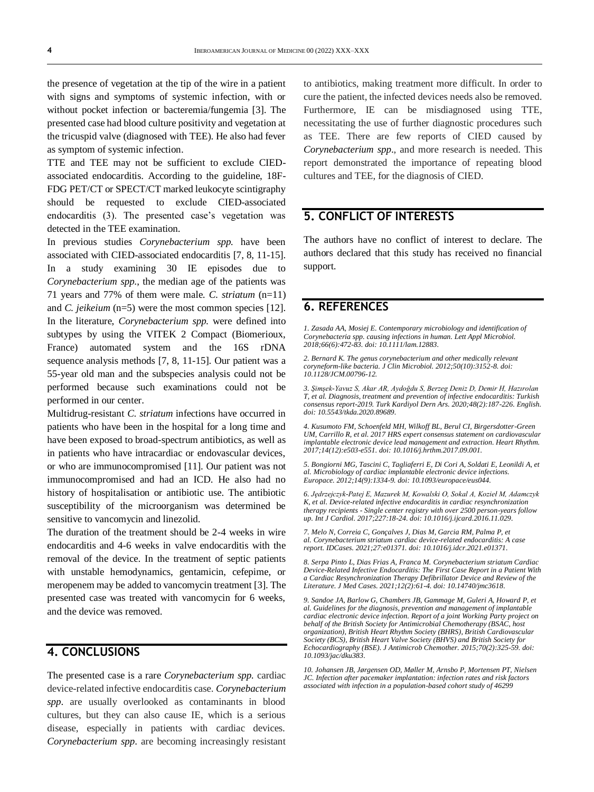the presence of vegetation at the tip of the wire in a patient with signs and symptoms of systemic infection, with or without pocket infection or bacteremia/fungemia [3]. The presented case had blood culture positivity and vegetation at the tricuspid valve (diagnosed with TEE). He also had fever as symptom of systemic infection.

TTE and TEE may not be sufficient to exclude CIEDassociated endocarditis. According to the guideline, 18F-FDG PET/CT or SPECT/CT marked leukocyte scintigraphy should be requested to exclude CIED-associated endocarditis (3). The presented case's vegetation was detected in the TEE examination.

In previous studies *Corynebacterium spp.* have been associated with CIED-associated endocarditis [7, 8, 11-15]. In a study examining 30 IE episodes due to *Corynebacterium spp*., the median age of the patients was 71 years and 77% of them were male. *C. striatum* (n=11) and *C. jeikeium* (n=5) were the most common species [12]. In the literature, *Corynebacterium spp.* were defined into subtypes by using the VITEK 2 Compact (Biomerioux, France) automated system and the 16S rDNA sequence analysis methods [7, 8, 11-15]. Our patient was a 55-year old man and the subspecies analysis could not be performed because such examinations could not be performed in our center.

Multidrug-resistant *C. striatum* infections have occurred in patients who have been in the hospital for a long time and have been exposed to broad-spectrum antibiotics, as well as in patients who have intracardiac or endovascular devices, or who are immunocompromised [11]. Our patient was not immunocompromised and had an ICD. He also had no history of hospitalisation or antibiotic use. The antibiotic susceptibility of the microorganism was determined be sensitive to vancomycin and linezolid.

The duration of the treatment should be 2-4 weeks in wire endocarditis and 4-6 weeks in valve endocarditis with the removal of the device. In the treatment of septic patients with unstable hemodynamics, gentamicin, cefepime, or meropenem may be added to vancomycin treatment [3]. The presented case was treated with vancomycin for 6 weeks, and the device was removed.

### **4. CONCLUSIONS**

The presented case is a rare *Corynebacterium spp*. cardiac device-related infective endocarditis case. *Corynebacterium spp*. are usually overlooked as contaminants in blood cultures, but they can also cause IE, which is a serious disease, especially in patients with cardiac devices. *Corynebacterium spp*. are becoming increasingly resistant

to antibiotics, making treatment more difficult. In order to cure the patient, the infected devices needs also be removed. Furthermore, IE can be misdiagnosed using TTE, necessitating the use of further diagnostic procedures such as TEE. There are few reports of CIED caused by *Corynebacterium spp*., and more research is needed. This report demonstrated the importance of repeating blood cultures and TEE, for the diagnosis of CIED.

## **5. CONFLICT OF INTERESTS**

The authors have no conflict of interest to declare. The authors declared that this study has received no financial support.

### **6. REFERENCES**

*1. Zasada AA, Mosiej E. Contemporary microbiology and identification of Corynebacteria spp. causing infections in human. Lett Appl Microbiol. 2018;66(6):472-83. doi[: 10.1111/lam.12883.](https://doi.org/10.1111/lam.12883)*

*2. Bernard K. The genus corynebacterium and other medically relevant coryneform-like bacteria. J Clin Microbiol. 2012;50(10):3152-8. doi: [10.1128/JCM.00796-12.](https://doi.org/10.1128/jcm.00796-12)*

*3. Şimşek-Yavuz S, Akar AR, Aydoğdu S, Berzeg Deniz D, Demir H, Hazırolan T, et al. Diagnosis, treatment and prevention of infective endocarditis: Turkish consensus report-2019. Turk Kardiyol Dern Ars. 2020;48(2):187-226. English. doi[: 10.5543/tkda.2020.89689.](https://doi.org/10.5543/tkda.2020.89689)*

*4. Kusumoto FM, Schoenfeld MH, Wilkoff BL, Berul CI, Birgersdotter-Green UM, Carrillo R, et al. 2017 HRS expert consensus statement on cardiovascular implantable electronic device lead management and extraction. Heart Rhythm. 2017;14(12):e503-e551. doi[: 10.1016/j.hrthm.2017.09.001.](https://doi.org/10.1016/j.hrthm.2017.09.001)*

*5. Bongiorni MG, Tascini C, Tagliaferri E, Di Cori A, Soldati E, Leonildi A, et al. Microbiology of cardiac implantable electronic device infections. Europace. 2012;14(9):1334-9. doi[: 10.1093/europace/eus044.](https://doi.org/10.1093/europace/eus044)*

*6. Jędrzejczyk-Patej E, Mazurek M, Kowalski O, Sokal A, Kozieł M, Adamczyk K, et al. Device-related infective endocarditis in cardiac resynchronization therapy recipients - Single center registry with over 2500 person-years follow up. Int J Cardiol. 2017;227:18-24. doi[: 10.1016/j.ijcard.2016.11.029.](https://doi.org/10.1016/j.ijcard.2016.11.029)*

*7. Melo N, Correia C, Gonçalves J, Dias M, Garcia RM, Palma P, et al. Corynebacterium striatum cardiac device-related endocarditis: A case report. IDCases. 2021;27:e01371. doi: [10.1016/j.idcr.2021.e01371.](https://doi.org/10.1016/j.idcr.2021.e01371)*

*8. Serpa Pinto L, Dias Frias A, Franca M. Corynebacterium striatum Cardiac Device-Related Infective Endocarditis: The First Case Report in a Patient With a Cardiac Resynchronization Therapy Defibrillator Device and Review of the Literature. J Med Cases. 2021;12(2):61-4. doi[: 10.14740/jmc3618.](https://doi.org/10.14740/jmc3618)*

*9. Sandoe JA, Barlow G, Chambers JB, Gammage M, Guleri A, Howard P, et al. Guidelines for the diagnosis, prevention and management of implantable cardiac electronic device infection. Report of a joint Working Party project on behalf of the British Society for Antimicrobial Chemotherapy (BSAC, host organization), British Heart Rhythm Society (BHRS), British Cardiovascular Society (BCS), British Heart Valve Society (BHVS) and British Society for Echocardiography (BSE). J Antimicrob Chemother. 2015;70(2):325-59. doi: [10.1093/jac/dku383.](https://doi.org/10.1093/jac/dku383)*

*10. Johansen JB, Jørgensen OD, Møller M, Arnsbo P, Mortensen PT, Nielsen JC. Infection after pacemaker implantation: infection rates and risk factors associated with infection in a population-based cohort study of 46299*